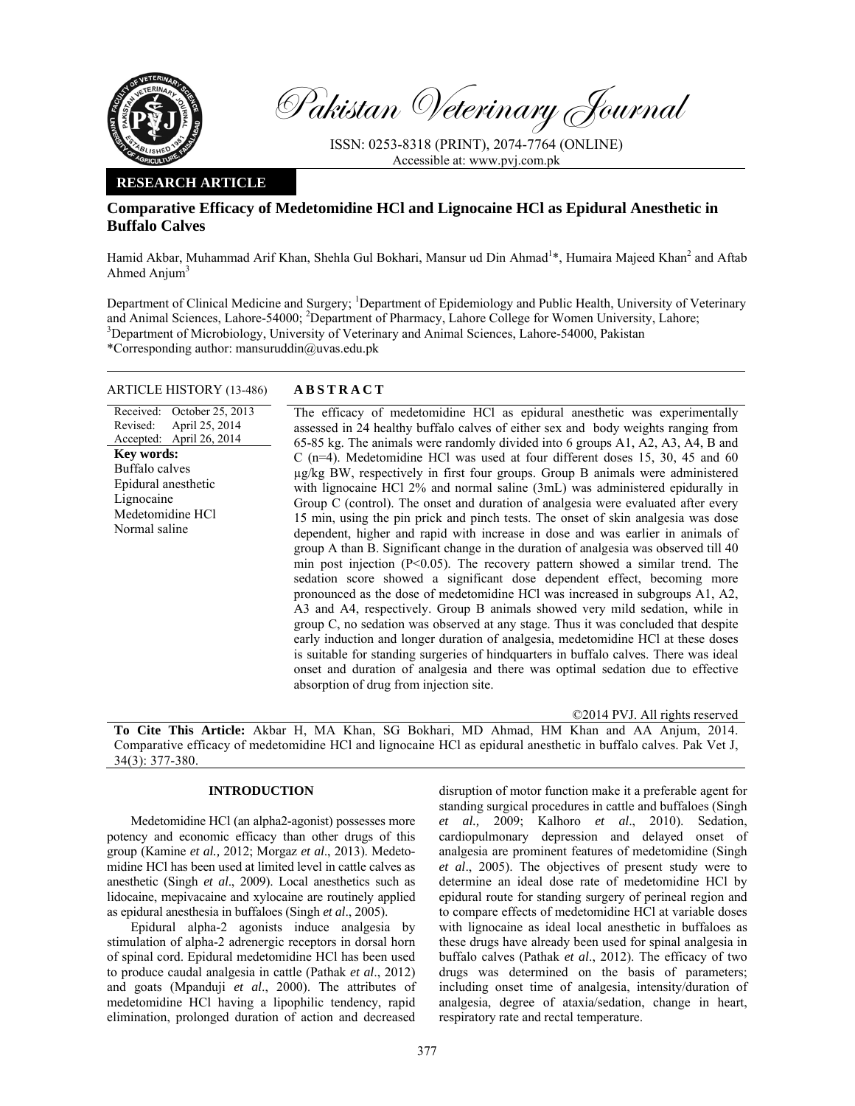

Pakistan Veterinary Journal

ISSN: 0253-8318 (PRINT), 2074-7764 (ONLINE) Accessible at: www.pvj.com.pk

# **RESEARCH ARTICLE**

# **Comparative Efficacy of Medetomidine HCl and Lignocaine HCl as Epidural Anesthetic in Buffalo Calves**

Hamid Akbar, Muhammad Arif Khan, Shehla Gul Bokhari, Mansur ud Din Ahmad<sup>1\*</sup>, Humaira Majeed Khan<sup>2</sup> and Aftab Ahmed Anjum $3$ 

Department of Clinical Medicine and Surgery; <sup>1</sup>Department of Epidemiology and Public Health, University of Veterinary and Animal Sciences, Lahore-54000; <sup>2</sup>Department of Pharmacy, Lahore College for Women University, Lahore;<br><sup>3</sup>Department of Microbiology, University of Veterinary and Animal Sciences, Labore, 54000, Pelsisten <sup>3</sup>Department of Microbiology, University of Veterinary and Animal Sciences, Lahore-54000, Pakistan \*Corresponding author: mansuruddin@uvas.edu.pk

## ARTICLE HISTORY (13-486) **ABSTRACT**

Received: Revised: Accepted: October 25, 2013 April 25, 2014 April 26, 2014 **Key words:**  Buffalo calves Epidural anesthetic Lignocaine Medetomidine HCl Normal saline

 The efficacy of medetomidine HCl as epidural anesthetic was experimentally assessed in 24 healthy buffalo calves of either sex and body weights ranging from 65-85 kg. The animals were randomly divided into 6 groups A1, A2, A3, A4, B and C (n=4). Medetomidine HCl was used at four different doses 15, 30, 45 and 60 µg/kg BW, respectively in first four groups. Group B animals were administered with lignocaine HCl 2% and normal saline (3mL) was administered epidurally in Group C (control). The onset and duration of analgesia were evaluated after every 15 min, using the pin prick and pinch tests. The onset of skin analgesia was dose dependent, higher and rapid with increase in dose and was earlier in animals of group A than B. Significant change in the duration of analgesia was observed till 40 min post injection  $(P<0.05)$ . The recovery pattern showed a similar trend. The sedation score showed a significant dose dependent effect, becoming more pronounced as the dose of medetomidine HCl was increased in subgroups A1, A2, A3 and A4, respectively. Group B animals showed very mild sedation, while in group C, no sedation was observed at any stage. Thus it was concluded that despite early induction and longer duration of analgesia, medetomidine HCl at these doses is suitable for standing surgeries of hindquarters in buffalo calves. There was ideal onset and duration of analgesia and there was optimal sedation due to effective absorption of drug from injection site.

©2014 PVJ. All rights reserved

**To Cite This Article:** Akbar H, MA Khan, SG Bokhari, MD Ahmad, HM Khan and AA Anjum, 2014. Comparative efficacy of medetomidine HCl and lignocaine HCl as epidural anesthetic in buffalo calves. Pak Vet J, 34(3): 377-380.

## **INTRODUCTION**

Medetomidine HCl (an alpha2-agonist) possesses more potency and economic efficacy than other drugs of this group (Kamine *et al.,* 2012; Morgaz *et al*., 2013). Medetomidine HCl has been used at limited level in cattle calves as anesthetic (Singh *et al*., 2009). Local anesthetics such as lidocaine, mepivacaine and xylocaine are routinely applied as epidural anesthesia in buffaloes (Singh *et al*., 2005).

Epidural alpha-2 agonists induce analgesia by stimulation of alpha-2 adrenergic receptors in dorsal horn of spinal cord. Epidural medetomidine HCl has been used to produce caudal analgesia in cattle (Pathak *et al*., 2012) and goats (Mpanduji *et al*., 2000). The attributes of medetomidine HCl having a lipophilic tendency, rapid elimination, prolonged duration of action and decreased

disruption of motor function make it a preferable agent for standing surgical procedures in cattle and buffaloes (Singh *et al.,* 2009; Kalhoro *et al*., 2010). Sedation, cardiopulmonary depression and delayed onset of analgesia are prominent features of medetomidine (Singh *et al*., 2005). The objectives of present study were to determine an ideal dose rate of medetomidine HCl by epidural route for standing surgery of perineal region and to compare effects of medetomidine HCl at variable doses with lignocaine as ideal local anesthetic in buffaloes as these drugs have already been used for spinal analgesia in buffalo calves (Pathak *et al*., 2012). The efficacy of two drugs was determined on the basis of parameters; including onset time of analgesia, intensity/duration of analgesia, degree of ataxia/sedation, change in heart, respiratory rate and rectal temperature.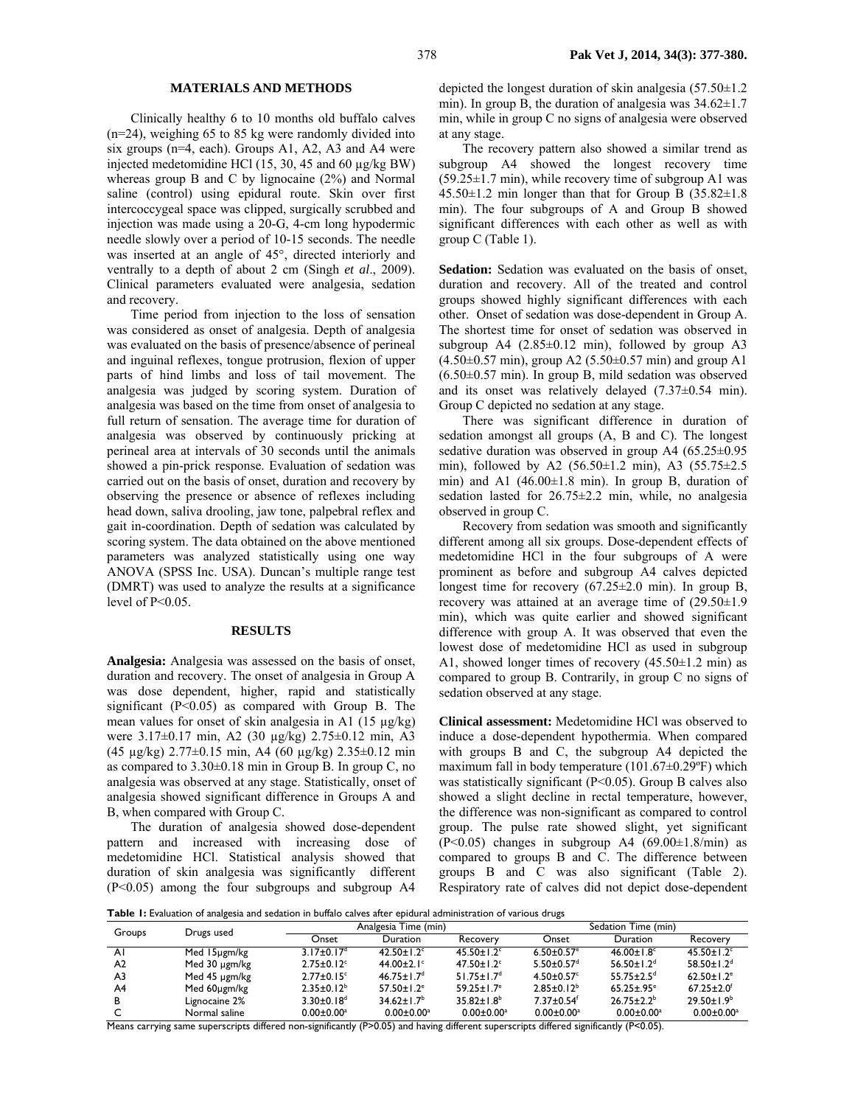## **MATERIALS AND METHODS**

Clinically healthy 6 to 10 months old buffalo calves (n=24), weighing 65 to 85 kg were randomly divided into six groups (n=4, each). Groups A1, A2, A3 and A4 were injected medetomidine HCl (15, 30, 45 and 60 µg/kg BW) whereas group B and C by lignocaine (2%) and Normal saline (control) using epidural route. Skin over first intercoccygeal space was clipped, surgically scrubbed and injection was made using a 20-G, 4-cm long hypodermic needle slowly over a period of 10-15 seconds. The needle was inserted at an angle of 45°, directed interiorly and ventrally to a depth of about 2 cm (Singh *et al*., 2009). Clinical parameters evaluated were analgesia, sedation and recovery.

Time period from injection to the loss of sensation was considered as onset of analgesia. Depth of analgesia was evaluated on the basis of presence/absence of perineal and inguinal reflexes, tongue protrusion, flexion of upper parts of hind limbs and loss of tail movement. The analgesia was judged by scoring system. Duration of analgesia was based on the time from onset of analgesia to full return of sensation. The average time for duration of analgesia was observed by continuously pricking at perineal area at intervals of 30 seconds until the animals showed a pin-prick response. Evaluation of sedation was carried out on the basis of onset, duration and recovery by observing the presence or absence of reflexes including head down, saliva drooling, jaw tone, palpebral reflex and gait in-coordination. Depth of sedation was calculated by scoring system. The data obtained on the above mentioned parameters was analyzed statistically using one way ANOVA (SPSS Inc. USA). Duncan's multiple range test (DMRT) was used to analyze the results at a significance level of  $P<0.05$ .

#### **RESULTS**

**Analgesia:** Analgesia was assessed on the basis of onset, duration and recovery. The onset of analgesia in Group A was dose dependent, higher, rapid and statistically significant (P<0.05) as compared with Group B. The mean values for onset of skin analgesia in A1 (15 µg/kg) were 3.17±0.17 min, A2 (30 µg/kg) 2.75±0.12 min, A3 (45  $\mu$ g/kg) 2.77±0.15 min, A4 (60  $\mu$ g/kg) 2.35±0.12 min as compared to 3.30±0.18 min in Group B. In group C, no analgesia was observed at any stage. Statistically, onset of analgesia showed significant difference in Groups A and B, when compared with Group C.

The duration of analgesia showed dose-dependent pattern and increased with increasing dose of medetomidine HCl. Statistical analysis showed that duration of skin analgesia was significantly different (P<0.05) among the four subgroups and subgroup A4

depicted the longest duration of skin analgesia (57.50±1.2 min). In group B, the duration of analgesia was  $34.62 \pm 1.7$ min, while in group C no signs of analgesia were observed at any stage.

The recovery pattern also showed a similar trend as subgroup A4 showed the longest recovery time  $(59.25 \pm 1.7 \text{ min})$ , while recovery time of subgroup A1 was  $45.50\pm1.2$  min longer than that for Group B  $(35.82\pm1.8)$ min). The four subgroups of A and Group B showed significant differences with each other as well as with group C (Table 1).

**Sedation:** Sedation was evaluated on the basis of onset, duration and recovery. All of the treated and control groups showed highly significant differences with each other. Onset of sedation was dose-dependent in Group A. The shortest time for onset of sedation was observed in subgroup A4 (2.85±0.12 min), followed by group A3  $(4.50\pm0.57 \text{ min})$ , group A2  $(5.50\pm0.57 \text{ min})$  and group A1  $(6.50\pm0.57 \text{ min})$ . In group B, mild sedation was observed and its onset was relatively delayed (7.37±0.54 min). Group C depicted no sedation at any stage.

There was significant difference in duration of sedation amongst all groups (A, B and C). The longest sedative duration was observed in group A4 (65.25±0.95 min), followed by A2 (56.50±1.2 min), A3 (55.75±2.5 min) and A1 (46.00±1.8 min). In group B, duration of sedation lasted for  $26.75\pm2.2$  min, while, no analgesia observed in group C.

Recovery from sedation was smooth and significantly different among all six groups. Dose-dependent effects of medetomidine HCl in the four subgroups of A were prominent as before and subgroup A4 calves depicted longest time for recovery  $(67.25 \pm 2.0 \text{ min})$ . In group B, recovery was attained at an average time of  $(29.50\pm1.9$ min), which was quite earlier and showed significant difference with group A. It was observed that even the lowest dose of medetomidine HCl as used in subgroup A1, showed longer times of recovery  $(45.50\pm1.2 \text{ min})$  as compared to group B. Contrarily, in group C no signs of sedation observed at any stage.

**Clinical assessment:** Medetomidine HCl was observed to induce a dose-dependent hypothermia. When compared with groups B and C, the subgroup A4 depicted the maximum fall in body temperature  $(101.67\pm0.29^{\circ}F)$  which was statistically significant (P<0.05). Group B calves also showed a slight decline in rectal temperature, however, the difference was non-significant as compared to control group. The pulse rate showed slight, yet significant  $(P<0.05)$  changes in subgroup A4 (69.00 $\pm$ 1.8/min) as compared to groups B and C. The difference between groups B and C was also significant (Table 2). Respiratory rate of calves did not depict dose-dependent

**Table 1:** Evaluation of analgesia and sedation in buffalo calves after epidural administration of various drugs

| Groups         | Drugs used    |                              | Analgesia Time (min)         |                              |                              | Sedation Time (min)          |                              |  |
|----------------|---------------|------------------------------|------------------------------|------------------------------|------------------------------|------------------------------|------------------------------|--|
|                |               | Onset                        | Duration                     | Recovery                     | Onset                        | Duration                     | Recovery                     |  |
| ΑI             | Med 15µgm/kg  | $3.17+0.17d$                 | 42.50 ± $1.2^c$              | $45.50 \pm 1.2$ <sup>c</sup> | $6.50 \pm 0.57$ <sup>e</sup> | 46.00 ± $1.8^{\circ}$        | $45.50 \pm 1.2$ <sup>c</sup> |  |
| A <sub>2</sub> | Med 30 µgm/kg | $2.75 \pm 0.12$ c            | 44.00 $\pm$ 2.1 $\degree$    | $47.50 \pm 1.2$ <sup>c</sup> | $5.50 \pm 0.57$ <sup>d</sup> | $56.50 \pm 1.2$ <sup>d</sup> | $58.50 \pm 1.2$ <sup>d</sup> |  |
| A3             | Med 45 µgm/kg | $2.77 \pm 0.15$ <sup>c</sup> | $46.75 \pm 1.7$ <sup>d</sup> | $51.75 \pm 1.7$ <sup>d</sup> | $4.50 \pm 0.57$ <sup>c</sup> | 55 75 + 2.5 <sup>d</sup>     | $62.50 \pm 1.2$ <sup>e</sup> |  |
| A4             | Med 60µgm/kg  | $2.35 \pm 0.12^b$            | $57.50 \pm 1.2$ <sup>e</sup> | $59.25 \pm 1.7$ <sup>e</sup> | $2.85 \pm 0.12^b$            | $65.25 \pm .95$ <sup>e</sup> | $67.25 \pm 2.0^{\circ}$      |  |
|                | Lignocaine 2% | $3.30 \pm 0.18$ <sup>d</sup> | $34.62 \pm 1.7$ <sup>b</sup> | $35.82 \pm 1.8^b$            | $7.37 \pm 0.54$ <sup>f</sup> | $26.75 \pm 2.2^b$            | $29.50 \pm 1.9^b$            |  |
|                | Normal saline | $0.00 \pm 0.00$ <sup>a</sup> | $0.00 \pm 0.00$ <sup>a</sup> | $0.00 \pm 0.00$ <sup>a</sup> | $0.00 \pm 0.00^a$            | $0.00 \pm 0.00$ <sup>a</sup> | $0.00 \pm 0.00^a$            |  |

Means carrying same superscripts differed non-significantly (P>0.05) and having different superscripts differed significantly (P<0.05).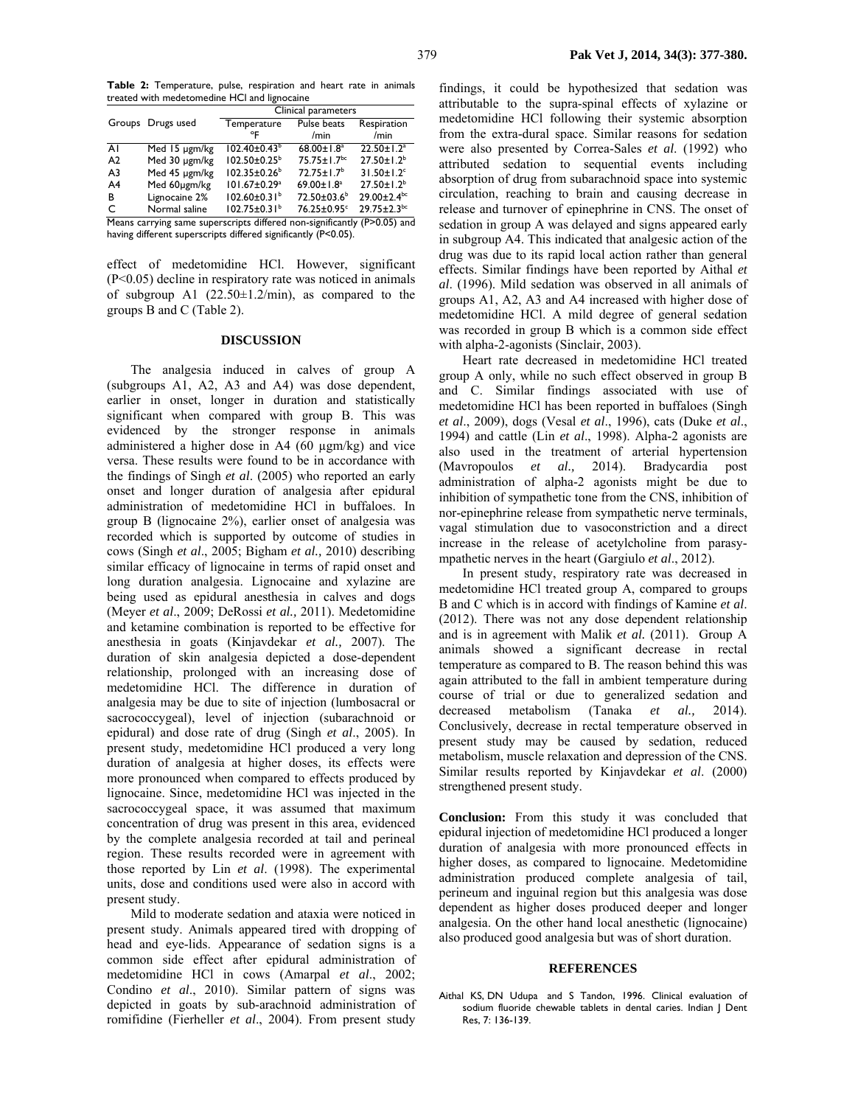|                |                   | Clinical parameters            |                               |                              |  |  |
|----------------|-------------------|--------------------------------|-------------------------------|------------------------------|--|--|
|                | Groups Drugs used | Temperature                    | Pulse beats                   | Respiration                  |  |  |
|                |                   | °F                             | /min                          | /min                         |  |  |
| ΑI             | Med 15 µgm/kg     | $102.40 \pm 0.43^b$            | $68.00 \pm 1.8$ <sup>a</sup>  | $22.50 \pm 1.2$ <sup>a</sup> |  |  |
| A <sub>2</sub> | Med 30 µgm/kg     | $102.50 \pm 0.25^{\circ}$      | $75.75 \pm 1.7$ <sup>bc</sup> | $27.50 \pm 1.2^b$            |  |  |
| A3             | Med 45 µgm/kg     | $102.35 \pm 0.26^b$            | $72.75 \pm 1.7^b$             | $31.50 \pm 1.2$ <sup>c</sup> |  |  |
| A4             | Med 60µgm/kg      | 101.67±0.29 <sup>a</sup>       | 69.00±1.8 <sup>a</sup>        | $27.50 \pm 1.2^b$            |  |  |
| в              | Lignocaine 2%     | $102.60 \pm 0.31$ <sup>b</sup> | 72.50±03.6 <sup>b</sup>       | 29.00±2.4bc                  |  |  |
| $\subset$      | Normal saline     | $102.75 \pm 0.31^b$            | 76.25±0.95°                   | $29.75 \pm 2.3^{bc}$         |  |  |

Means carrying same superscripts differed non-significantly (P>0.05) and having different superscripts differed significantly (P<0.05).

effect of medetomidine HCl. However, significant (P<0.05) decline in respiratory rate was noticed in animals of subgroup A1  $(22.50 \pm 1.2/\text{min})$ , as compared to the groups B and C (Table 2).

### **DISCUSSION**

The analgesia induced in calves of group A (subgroups A1, A2, A3 and A4) was dose dependent, earlier in onset, longer in duration and statistically significant when compared with group B. This was evidenced by the stronger response in animals administered a higher dose in A4 (60 µgm/kg) and vice versa. These results were found to be in accordance with the findings of Singh *et al*. (2005) who reported an early onset and longer duration of analgesia after epidural administration of medetomidine HCl in buffaloes. In group B (lignocaine 2%), earlier onset of analgesia was recorded which is supported by outcome of studies in cows (Singh *et al*., 2005; Bigham *et al.,* 2010) describing similar efficacy of lignocaine in terms of rapid onset and long duration analgesia. Lignocaine and xylazine are being used as epidural anesthesia in calves and dogs (Meyer *et al*., 2009; DeRossi *et al.,* 2011). Medetomidine and ketamine combination is reported to be effective for anesthesia in goats (Kinjavdekar *et al.,* 2007). The duration of skin analgesia depicted a dose-dependent relationship, prolonged with an increasing dose of medetomidine HCl. The difference in duration of analgesia may be due to site of injection (lumbosacral or sacrococcygeal), level of injection (subarachnoid or epidural) and dose rate of drug (Singh *et al*., 2005). In present study, medetomidine HCl produced a very long duration of analgesia at higher doses, its effects were more pronounced when compared to effects produced by lignocaine. Since, medetomidine HCl was injected in the sacrococcygeal space, it was assumed that maximum concentration of drug was present in this area, evidenced by the complete analgesia recorded at tail and perineal region. These results recorded were in agreement with those reported by Lin *et al*. (1998). The experimental units, dose and conditions used were also in accord with present study.

Mild to moderate sedation and ataxia were noticed in present study. Animals appeared tired with dropping of head and eye-lids. Appearance of sedation signs is a common side effect after epidural administration of medetomidine HCl in cows (Amarpal *et al*., 2002; Condino *et al*., 2010). Similar pattern of signs was depicted in goats by sub-arachnoid administration of romifidine (Fierheller *et al*., 2004). From present study

findings, it could be hypothesized that sedation was attributable to the supra-spinal effects of xylazine or medetomidine HCl following their systemic absorption from the extra-dural space. Similar reasons for sedation were also presented by Correa-Sales *et al*. (1992) who attributed sedation to sequential events including absorption of drug from subarachnoid space into systemic circulation, reaching to brain and causing decrease in release and turnover of epinephrine in CNS. The onset of sedation in group A was delayed and signs appeared early in subgroup A4. This indicated that analgesic action of the drug was due to its rapid local action rather than general effects. Similar findings have been reported by Aithal *et al*. (1996). Mild sedation was observed in all animals of groups A1, A2, A3 and A4 increased with higher dose of medetomidine HCl. A mild degree of general sedation was recorded in group B which is a common side effect with alpha-2-agonists (Sinclair, 2003).

Heart rate decreased in medetomidine HCl treated group A only, while no such effect observed in group B and C. Similar findings associated with use of medetomidine HCl has been reported in buffaloes (Singh *et al*., 2009), dogs (Vesal *et al*., 1996), cats (Duke *et al*., 1994) and cattle (Lin *et al*., 1998). Alpha-2 agonists are also used in the treatment of arterial hypertension (Mavropoulos *et al.,* 2014). Bradycardia post administration of alpha-2 agonists might be due to inhibition of sympathetic tone from the CNS, inhibition of nor-epinephrine release from sympathetic nerve terminals, vagal stimulation due to vasoconstriction and a direct increase in the release of acetylcholine from parasympathetic nerves in the heart (Gargiulo *et al*., 2012).

In present study, respiratory rate was decreased in medetomidine HCl treated group A, compared to groups B and C which is in accord with findings of Kamine *et al*. (2012). There was not any dose dependent relationship and is in agreement with Malik *et al.* (2011). Group A animals showed a significant decrease in rectal temperature as compared to B. The reason behind this was again attributed to the fall in ambient temperature during course of trial or due to generalized sedation and decreased metabolism (Tanaka *et al.,* 2014). Conclusively, decrease in rectal temperature observed in present study may be caused by sedation, reduced metabolism, muscle relaxation and depression of the CNS. Similar results reported by Kinjavdekar *et al*. (2000) strengthened present study.

**Conclusion:** From this study it was concluded that epidural injection of medetomidine HCl produced a longer duration of analgesia with more pronounced effects in higher doses, as compared to lignocaine. Medetomidine administration produced complete analgesia of tail, perineum and inguinal region but this analgesia was dose dependent as higher doses produced deeper and longer analgesia. On the other hand local anesthetic (lignocaine) also produced good analgesia but was of short duration.

#### **REFERENCES**

Aithal KS, DN Udupa and S Tandon, 1996. Clinical evaluation of sodium fluoride chewable tablets in dental caries. Indian J Dent Res, 7: 136-139.